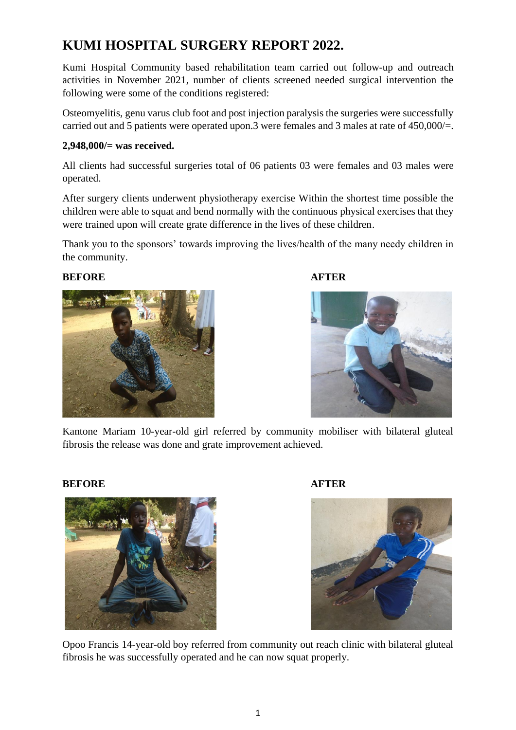# **KUMI HOSPITAL SURGERY REPORT 2022.**

Kumi Hospital Community based rehabilitation team carried out follow-up and outreach activities in November 2021, number of clients screened needed surgical intervention the following were some of the conditions registered:

Osteomyelitis, genu varus club foot and post injection paralysis the surgeries were successfully carried out and 5 patients were operated upon.3 were females and 3 males at rate of 450,000/=.

## **2,948,000/= was received.**

All clients had successful surgeries total of 06 patients 03 were females and 03 males were operated.

After surgery clients underwent physiotherapy exercise Within the shortest time possible the children were able to squat and bend normally with the continuous physical exercises that they were trained upon will create grate difference in the lives of these children.

Thank you to the sponsors' towards improving the lives/health of the many needy children in the community.

### **BEFORE AFTER**







Kantone Mariam 10-year-old girl referred by community mobiliser with bilateral gluteal fibrosis the release was done and grate improvement achieved.

### **BEFORE AFTER**





Opoo Francis 14-year-old boy referred from community out reach clinic with bilateral gluteal fibrosis he was successfully operated and he can now squat properly.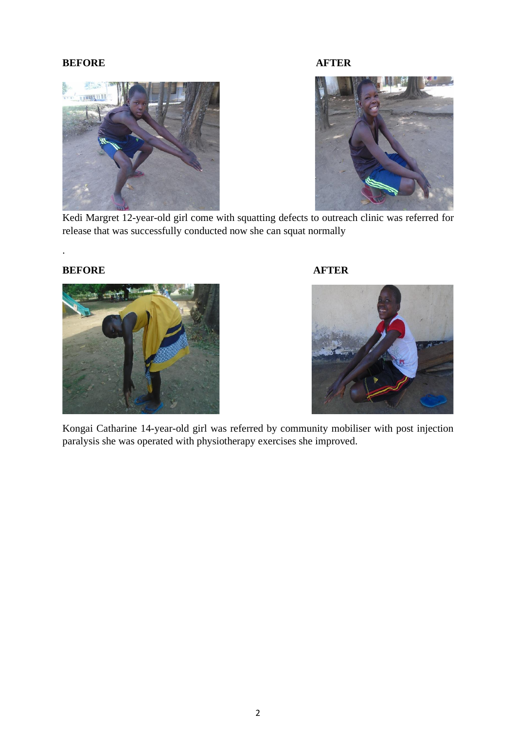# **BEFORE AFTER**



Kedi Margret 12-year-old girl come with squatting defects to outreach clinic was referred for release that was successfully conducted now she can squat normally

# **BEFORE AFTER**

.





Kongai Catharine 14-year-old girl was referred by community mobiliser with post injection paralysis she was operated with physiotherapy exercises she improved.